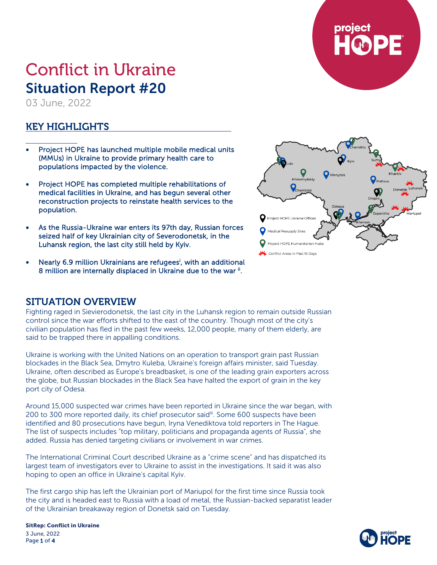

# Conflict in Ukraine Situation Report #20

03 June, 2022

## KEY HIGHLIGHTS

- Project HOPE has launched multiple mobile medical units (MMUs) in Ukraine to provide primary health care to populations impacted by the violence.
- Project HOPE has completed multiple rehabilitations of medical facilities in Ukraine, and has begun several other reconstruction projects to reinstate health services to the population.
- As the Russia-Ukraine war enters its 97th day, Russian forces seized half of key Ukrainian city of Severodonetsk, in the Luhansk region, the last city still held by Kyiv.
- Nearly 6.9 million Ukrainians are refugees<sup>i</sup>, with an additional 8 million are internally displaced in Ukraine due to the war i.



## SITUATION OVERVIEW

Fighting raged in Sievierodonetsk, the last city in the Luhansk region to remain outside Russian control since the war efforts shifted to the east of the country. Though most of the city's civilian population has fled in the past few weeks, 12,000 people, many of them elderly, are said to be trapped there in appalling conditions.

Ukraine is working with the United Nations on an operation to transport grain past Russian blockades in the Black Sea, Dmytro Kuleba, Ukraine's foreign affairs minister, said Tuesday. Ukraine, often described as Europe's breadbasket, is one of the leading grain exporters across the globe, but Russian blockades in the Black Sea have halted the export of grain in the key port city of Odesa.

Around 15,000 suspected war crimes have been reported in Ukraine since the war began, with 200 to 300 more reported daily, its chief prosecutor said<sup>iii</sup>. Some 600 suspects have been identified and 80 prosecutions have begun, Iryna Venediktova told reporters in The Hague. The list of suspects includes "top military, politicians and propaganda agents of Russia", she added. Russia has denied targeting civilians or involvement in war crimes.

The International Criminal Court described Ukraine as a "crime scene" and has dispatched its largest team of investigators ever to Ukraine to assist in the investigations. It said it was also hoping to open an office in Ukraine's capital Kyiv.

The first cargo ship has left the Ukrainian port of Mariupol for the first time since Russia took the city and is headed east to Russia with a load of metal, the Russian-backed separatist leader of the Ukrainian breakaway region of Donetsk said on Tuesday.

SitRep: Conflict in Ukraine 3 June, 2022 Page 1 of 4

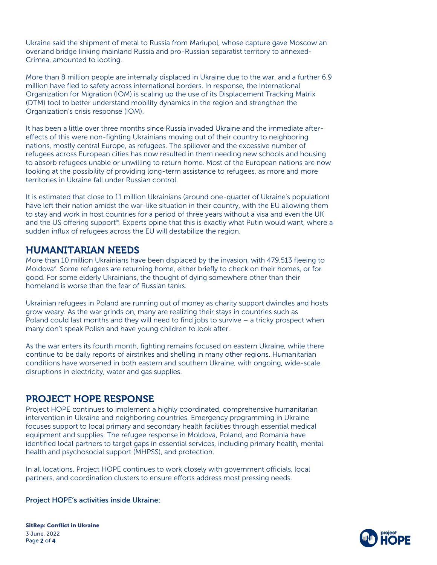Ukraine said the shipment of metal to Russia from Mariupol, whose capture gave Moscow an overland bridge linking mainland Russia and pro-Russian separatist territory to annexed-Crimea, amounted to looting.

More than 8 million people are internally displaced in Ukraine due to the war, and a further 6.9 million have fled to safety across international borders. In response, the International Organization for Migration (IOM) is scaling up the use of its Displacement Tracking Matrix (DTM) tool to better understand mobility dynamics in the region and strengthen the Organization's crisis response (IOM).

It has been a little over three months since Russia invaded Ukraine and the immediate aftereffects of this were non-fighting Ukrainians moving out of their country to neighboring nations, mostly central Europe, as refugees. The spillover and the excessive number of refugees across European cities has now resulted in them needing new schools and housing to absorb refugees unable or unwilling to return home. Most of the European nations are now looking at the possibility of providing long-term assistance to refugees, as more and more territories in Ukraine fall under Russian control.

It is estimated that close to 11 million Ukrainians (around one-quarter of Ukraine's population) have left their nation amidst the war-like situation in their country, with the EU allowing them to stay and work in host countries for a period of three years without a visa and even the UK and the US offering support<sup>iv</sup>. Experts opine that this is exactly what Putin would want, where a sudden influx of refugees across the EU will destabilize the region.

## HUMANITARIAN NEEDS

More than 10 million Ukrainians have been displaced by the invasion, with 479,513 fleeing to Moldova<sup>v</sup>. Some refugees are returning home, either briefly to check on their homes, or for good. For some elderly Ukrainians, the thought of dying somewhere other than their homeland is worse than the fear of Russian tanks.

Ukrainian refugees in Poland are running out of money as charity support dwindles and hosts grow weary. As the war grinds on, many are realizing their stays in countries such as Poland could last months and they will need to find jobs to survive  $-$  a tricky prospect when many don't speak Polish and have young children to look after.

As the war enters its fourth month, fighting remains focused on eastern Ukraine, while there continue to be daily reports of airstrikes and shelling in many other regions. Humanitarian conditions have worsened in both eastern and southern Ukraine, with ongoing, wide-scale disruptions in electricity, water and gas supplies.

## PROJECT HOPE RESPONSE

Project HOPE continues to implement a highly coordinated, comprehensive humanitarian intervention in Ukraine and neighboring countries. Emergency programming in Ukraine focuses support to local primary and secondary health facilities through essential medical equipment and supplies. The refugee response in Moldova, Poland, and Romania have identified local partners to target gaps in essential services, including primary health, mental health and psychosocial support (MHPSS), and protection.

In all locations, Project HOPE continues to work closely with government officials, local partners, and coordination clusters to ensure efforts address most pressing needs.

#### Project HOPE's activities inside Ukraine:

SitRep: Conflict in Ukraine 3 June, 2022 Page 2 of 4

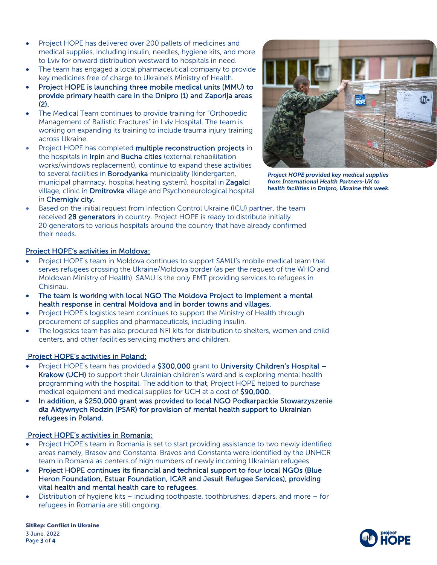- Project HOPE has delivered over 200 pallets of medicines and medical supplies, including insulin, needles, hygiene kits, and more to Lviv for onward distribution westward to hospitals in need.
- The team has engaged a local pharmaceutical company to provide key medicines free of charge to Ukraine's Ministry of Health.
- Project HOPE is launching three mobile medical units (MMU) to provide primary health care in the Dnipro (1) and Zaporija areas (2).
- The Medical Team continues to provide training for "Orthopedic Management of Ballistic Fractures" in Lviv Hospital. The team is working on expanding its training to include trauma injury training across Ukraine.
- Project HOPE has completed multiple reconstruction projects in the hospitals in Irpin and Bucha cities (external rehabilitation works/windows replacement), continue to expand these activities to several facilities in **Borodyanka** municipality (kindergarten, municipal pharmacy, hospital heating system), hospital in Zagalci village, clinic in Dmitrovka village and Psychoneurological hospital in Chernigiv city.



*Project HOPE provided key medical supplies from International Health Partners-UK to health facilities in Dnipro, Ukraine this week.*

• Based on the initial request from Infection Control Ukraine (ICU) partner, the team received 28 generators in country. Project HOPE is ready to distribute initially 20 generators to various hospitals around the country that have already confirmed their needs.

#### Project HOPE's activities in Moldova:

- Project HOPE's team in Moldova continues to support SAMU's mobile medical team that serves refugees crossing the Ukraine/Moldova border (as per the request of the WHO and Moldovan Ministry of Health). SAMU is the only EMT providing services to refugees in Chisinau.
- The team is working with local NGO The Moldova Project to implement a mental health response in central Moldova and in border towns and villages.
- Project HOPE's logistics team continues to support the Ministry of Health through procurement of supplies and pharmaceuticals, including insulin.
- The logistics team has also procured NFI kits for distribution to shelters, women and child centers, and other facilities servicing mothers and children.

### Project HOPE's activities in Poland:

- Project HOPE's team has provided a \$300,000 grant to University Children's Hospital -Krakow (UCH) to support their Ukrainian children's ward and is exploring mental health programming with the hospital. The addition to that, Project HOPE helped to purchase medical equipment and medical supplies for UCH at a cost of \$90,000.
- In addition, a \$250,000 grant was provided to local NGO Podkarpackie Stowarzyszenie dla Aktywnych Rodzin (PSAR) for provision of mental health support to Ukrainian refugees in Poland.

#### Project HOPE's activities in Romania:

- Project HOPE's team in Romania is set to start providing assistance to two newly identified areas namely, Brasov and Constanta. Bravos and Constanta were identified by the UNHCR team in Romania as centers of high numbers of newly incoming Ukrainian refugees.
- Project HOPE continues its financial and technical support to four local NGOs (Blue Heron Foundation, Estuar Foundation, ICAR and Jesuit Refugee Services), providing vital health and mental health care to refugees.
- Distribution of hygiene kits including toothpaste, toothbrushes, diapers, and more for refugees in Romania are still ongoing.

SitRep: Conflict in Ukraine 3 June, 2022 Page 3 of 4